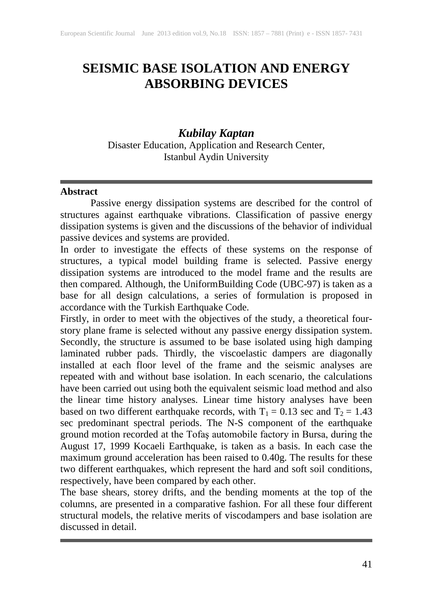# **SEISMIC BASE ISOLATION AND ENERGY ABSORBING DEVICES**

# *Kubilay Kaptan*

Disaster Education, Application and Research Center, Istanbul Aydin University

#### **Abstract**

Passive energy dissipation systems are described for the control of structures against earthquake vibrations. Classification of passive energy dissipation systems is given and the discussions of the behavior of individual passive devices and systems are provided.

In order to investigate the effects of these systems on the response of structures, a typical model building frame is selected. Passive energy dissipation systems are introduced to the model frame and the results are then compared. Although, the UniformBuilding Code (UBC-97) is taken as a base for all design calculations, a series of formulation is proposed in accordance with the Turkish Earthquake Code.

Firstly, in order to meet with the objectives of the study, a theoretical fourstory plane frame is selected without any passive energy dissipation system. Secondly, the structure is assumed to be base isolated using high damping laminated rubber pads. Thirdly, the viscoelastic dampers are diagonally installed at each floor level of the frame and the seismic analyses are repeated with and without base isolation. In each scenario, the calculations have been carried out using both the equivalent seismic load method and also the linear time history analyses. Linear time history analyses have been based on two different earthquake records, with  $T_1 = 0.13$  sec and  $T_2 = 1.43$ sec predominant spectral periods. The N-S component of the earthquake ground motion recorded at the Tofaş automobile factory in Bursa, during the August 17, 1999 Kocaeli Earthquake, is taken as a basis. In each case the maximum ground acceleration has been raised to 0.40g. The results for these two different earthquakes, which represent the hard and soft soil conditions, respectively, have been compared by each other.

The base shears, storey drifts, and the bending moments at the top of the columns, are presented in a comparative fashion. For all these four different structural models, the relative merits of viscodampers and base isolation are discussed in detail.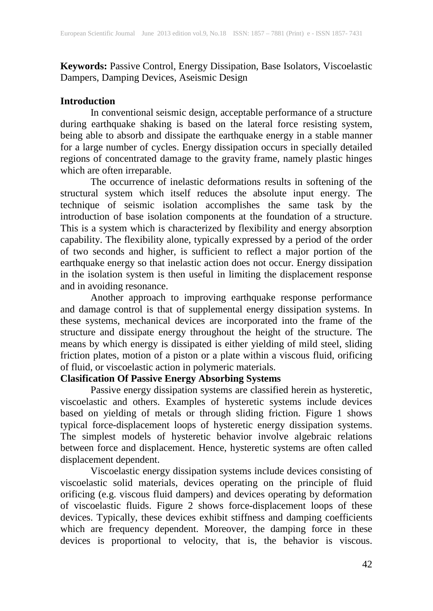**Keywords:** Passive Control, Energy Dissipation, Base Isolators, Viscoelastic Dampers, Damping Devices, Aseismic Design

### **Introduction**

In conventional seismic design, acceptable performance of a structure during earthquake shaking is based on the lateral force resisting system, being able to absorb and dissipate the earthquake energy in a stable manner for a large number of cycles. Energy dissipation occurs in specially detailed regions of concentrated damage to the gravity frame, namely plastic hinges which are often irreparable.

The occurrence of inelastic deformations results in softening of the structural system which itself reduces the absolute input energy. The technique of seismic isolation accomplishes the same task by the introduction of base isolation components at the foundation of a structure. This is a system which is characterized by flexibility and energy absorption capability. The flexibility alone, typically expressed by a period of the order of two seconds and higher, is sufficient to reflect a major portion of the earthquake energy so that inelastic action does not occur. Energy dissipation in the isolation system is then useful in limiting the displacement response and in avoiding resonance.

Another approach to improving earthquake response performance and damage control is that of supplemental energy dissipation systems. In these systems, mechanical devices are incorporated into the frame of the structure and dissipate energy throughout the height of the structure. The means by which energy is dissipated is either yielding of mild steel, sliding friction plates, motion of a piston or a plate within a viscous fluid, orificing of fluid, or viscoelastic action in polymeric materials.

#### **Clasification Of Passive Energy Absorbing Systems**

Passive energy dissipation systems are classified herein as hysteretic, viscoelastic and others. Examples of hysteretic systems include devices based on yielding of metals or through sliding friction. Figure 1 shows typical force-displacement loops of hysteretic energy dissipation systems. The simplest models of hysteretic behavior involve algebraic relations between force and displacement. Hence, hysteretic systems are often called displacement dependent.

Viscoelastic energy dissipation systems include devices consisting of viscoelastic solid materials, devices operating on the principle of fluid orificing (e.g. viscous fluid dampers) and devices operating by deformation of viscoelastic fluids. Figure 2 shows force-displacement loops of these devices. Typically, these devices exhibit stiffness and damping coefficients which are frequency dependent. Moreover, the damping force in these devices is proportional to velocity, that is, the behavior is viscous.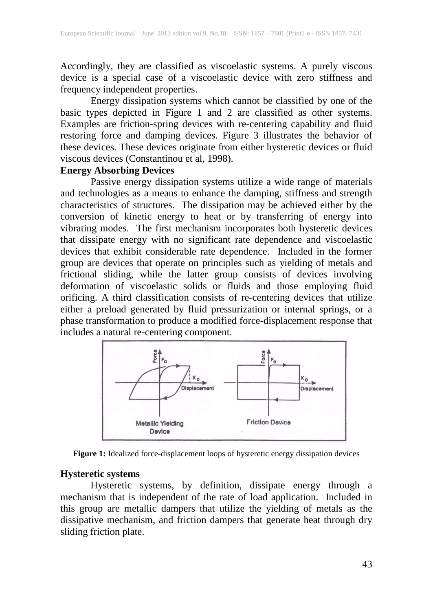Accordingly, they are classified as viscoelastic systems. A purely viscous device is a special case of a viscoelastic device with zero stiffness and frequency independent properties.

Energy dissipation systems which cannot be classified by one of the basic types depicted in Figure 1 and 2 are classified as other systems. Examples are friction-spring devices with re-centering capability and fluid restoring force and damping devices. Figure 3 illustrates the behavior of these devices. These devices originate from either hysteretic devices or fluid viscous devices (Constantinou et al, 1998).

# **Energy Absorbing Devices**

Passive energy dissipation systems utilize a wide range of materials and technologies as a means to enhance the damping, stiffness and strength characteristics of structures. The dissipation may be achieved either by the conversion of kinetic energy to heat or by transferring of energy into vibrating modes. The first mechanism incorporates both hysteretic devices that dissipate energy with no significant rate dependence and viscoelastic devices that exhibit considerable rate dependence. Included in the former group are devices that operate on principles such as yielding of metals and frictional sliding, while the latter group consists of devices involving deformation of viscoelastic solids or fluids and those employing fluid orificing. A third classification consists of re-centering devices that utilize either a preload generated by fluid pressurization or internal springs, or a phase transformation to produce a modified force-displacement response that includes a natural re-centering component.





#### **Hysteretic systems**

Hysteretic systems, by definition, dissipate energy through a mechanism that is independent of the rate of load application. Included in this group are metallic dampers that utilize the yielding of metals as the dissipative mechanism, and friction dampers that generate heat through dry sliding friction plate.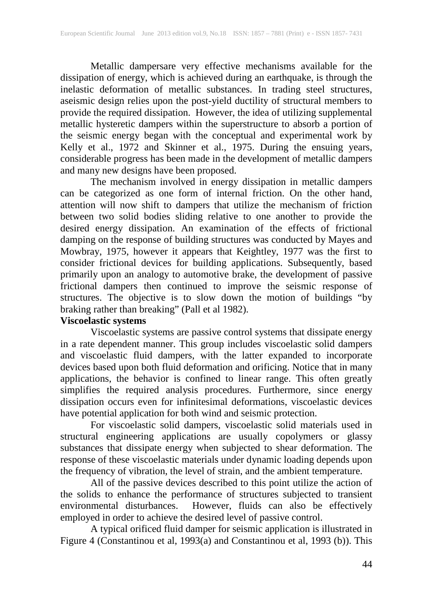Metallic dampersare very effective mechanisms available for the dissipation of energy, which is achieved during an earthquake, is through the inelastic deformation of metallic substances. In trading steel structures, assismic design relies upon the post-yield ductility of structural members to provide the required dissipation. However, the idea of utilizing supplemental metallic hysteretic dampers within the superstructure to absorb a portion of the seismic energy began with the conceptual and experimental work by Kelly et al., 1972 and Skinner et al., 1975. During the ensuing years, considerable progress has been made in the development of metallic dampers and many new designs have been proposed.

The mechanism involved in energy dissipation in metallic dampers can be categorized as one form of internal friction. On the other hand, attention will now shift to dampers that utilize the mechanism of friction between two solid bodies sliding relative to one another to provide the desired energy dissipation. An examination of the effects of frictional damping on the response of building structures was conducted by Mayes and Mowbray, 1975, however it appears that Keightley, 1977 was the first to consider frictional devices for building applications. Subsequently, based primarily upon an analogy to automotive brake, the development of passive frictional dampers then continued to improve the seismic response of structures. The objective is to slow down the motion of buildings "by braking rather than breaking" (Pall et al 1982).

### **Viscoelastic systems**

Viscoelastic systems are passive control systems that dissipate energy in a rate dependent manner. This group includes viscoelastic solid dampers and viscoelastic fluid dampers, with the latter expanded to incorporate devices based upon both fluid deformation and orificing. Notice that in many applications, the behavior is confined to linear range. This often greatly simplifies the required analysis procedures. Furthermore, since energy dissipation occurs even for infinitesimal deformations, viscoelastic devices have potential application for both wind and seismic protection.

For viscoelastic solid dampers, viscoelastic solid materials used in structural engineering applications are usually copolymers or glassy substances that dissipate energy when subjected to shear deformation. The response of these viscoelastic materials under dynamic loading depends upon the frequency of vibration, the level of strain, and the ambient temperature.

All of the passive devices described to this point utilize the action of the solids to enhance the performance of structures subjected to transient environmental disturbances. However, fluids can also be effectively employed in order to achieve the desired level of passive control.

A typical orificed fluid damper for seismic application is illustrated in Figure 4 (Constantinou et al, 1993(a) and Constantinou et al, 1993 (b)). This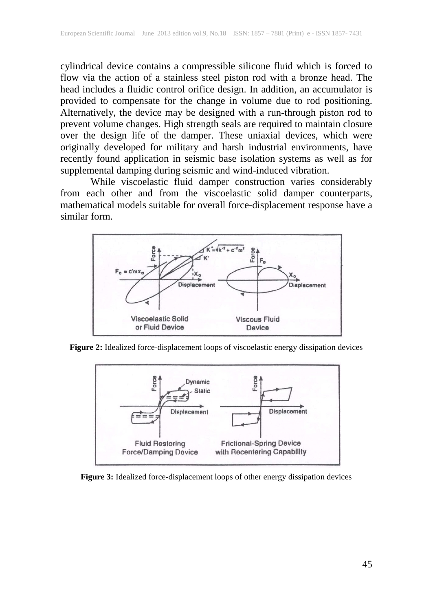cylindrical device contains a compressible silicone fluid which is forced to flow via the action of a stainless steel piston rod with a bronze head. The head includes a fluidic control orifice design. In addition, an accumulator is provided to compensate for the change in volume due to rod positioning. Alternatively, the device may be designed with a run-through piston rod to prevent volume changes. High strength seals are required to maintain closure over the design life of the damper. These uniaxial devices, which were originally developed for military and harsh industrial environments, have recently found application in seismic base isolation systems as well as for supplemental damping during seismic and wind-induced vibration.

While viscoelastic fluid damper construction varies considerably from each other and from the viscoelastic solid damper counterparts, mathematical models suitable for overall force-displacement response have a similar form.



**Figure 2:** Idealized force-displacement loops of viscoelastic energy dissipation devices



**Figure 3:** Idealized force-displacement loops of other energy dissipation devices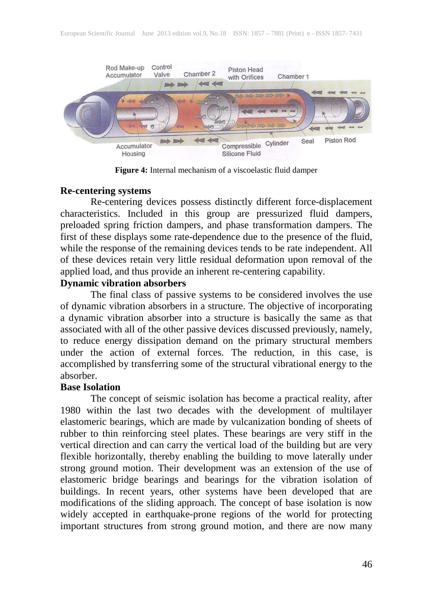

**Figure 4:** Internal mechanism of a viscoelastic fluid damper

#### **Re-centering systems**

Re-centering devices possess distinctly different force-displacement characteristics. Included in this group are pressurized fluid dampers, preloaded spring friction dampers, and phase transformation dampers. The first of these displays some rate-dependence due to the presence of the fluid, while the response of the remaining devices tends to be rate independent. All of these devices retain very little residual deformation upon removal of the applied load, and thus provide an inherent re-centering capability.

### **Dynamic vibration absorbers**

The final class of passive systems to be considered involves the use of dynamic vibration absorbers in a structure. The objective of incorporating a dynamic vibration absorber into a structure is basically the same as that associated with all of the other passive devices discussed previously, namely, to reduce energy dissipation demand on the primary structural members under the action of external forces. The reduction, in this case, is accomplished by transferring some of the structural vibrational energy to the absorber.

#### **Base Isolation**

The concept of seismic isolation has become a practical reality, after 1980 within the last two decades with the development of multilayer elastomeric bearings, which are made by vulcanization bonding of sheets of rubber to thin reinforcing steel plates. These bearings are very stiff in the vertical direction and can carry the vertical load of the building but are very flexible horizontally, thereby enabling the building to move laterally under strong ground motion. Their development was an extension of the use of elastomeric bridge bearings and bearings for the vibration isolation of buildings. In recent years, other systems have been developed that are modifications of the sliding approach. The concept of base isolation is now widely accepted in earthquake-prone regions of the world for protecting important structures from strong ground motion, and there are now many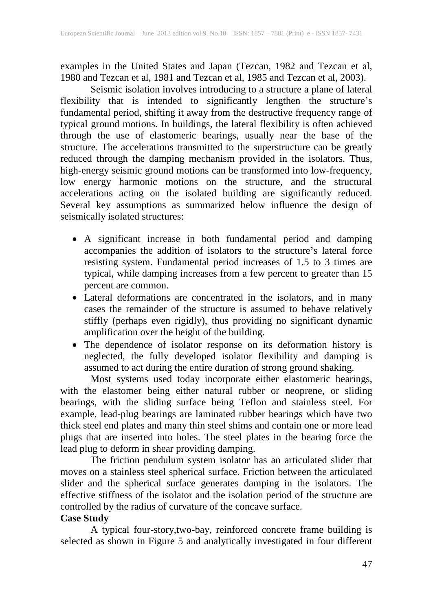examples in the United States and Japan (Tezcan, 1982 and Tezcan et al, 1980 and Tezcan et al, 1981 and Tezcan et al, 1985 and Tezcan et al, 2003).

Seismic isolation involves introducing to a structure a plane of lateral flexibility that is intended to significantly lengthen the structure's fundamental period, shifting it away from the destructive frequency range of typical ground motions. In buildings, the lateral flexibility is often achieved through the use of elastomeric bearings, usually near the base of the structure. The accelerations transmitted to the superstructure can be greatly reduced through the damping mechanism provided in the isolators. Thus, high-energy seismic ground motions can be transformed into low-frequency, low energy harmonic motions on the structure, and the structural accelerations acting on the isolated building are significantly reduced. Several key assumptions as summarized below influence the design of seismically isolated structures:

- A significant increase in both fundamental period and damping accompanies the addition of isolators to the structure's lateral force resisting system. Fundamental period increases of 1.5 to 3 times are typical, while damping increases from a few percent to greater than 15 percent are common.
- Lateral deformations are concentrated in the isolators, and in many cases the remainder of the structure is assumed to behave relatively stiffly (perhaps even rigidly), thus providing no significant dynamic amplification over the height of the building.
- The dependence of isolator response on its deformation history is neglected, the fully developed isolator flexibility and damping is assumed to act during the entire duration of strong ground shaking.

Most systems used today incorporate either elastomeric bearings, with the elastomer being either natural rubber or neoprene, or sliding bearings, with the sliding surface being Teflon and stainless steel. For example, lead-plug bearings are laminated rubber bearings which have two thick steel end plates and many thin steel shims and contain one or more lead plugs that are inserted into holes. The steel plates in the bearing force the lead plug to deform in shear providing damping.

The friction pendulum system isolator has an articulated slider that moves on a stainless steel spherical surface. Friction between the articulated slider and the spherical surface generates damping in the isolators. The effective stiffness of the isolator and the isolation period of the structure are controlled by the radius of curvature of the concave surface.

### **Case Study**

A typical four-story,two-bay, reinforced concrete frame building is selected as shown in Figure 5 and analytically investigated in four different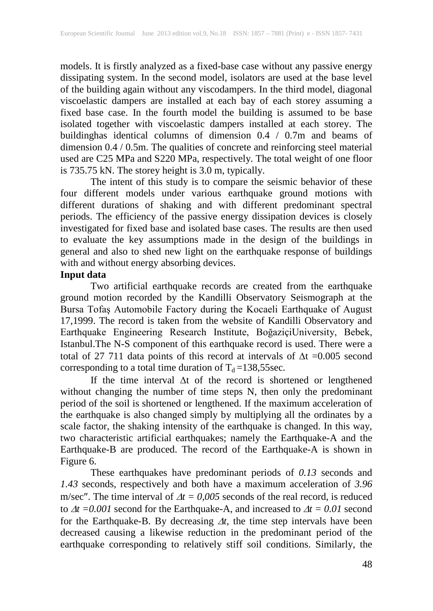models. It is firstly analyzed as a fixed-base case without any passive energy dissipating system. In the second model, isolators are used at the base level of the building again without any viscodampers. In the third model, diagonal viscoelastic dampers are installed at each bay of each storey assuming a fixed base case. In the fourth model the building is assumed to be base isolated together with viscoelastic dampers installed at each storey. The buildinghas identical columns of dimension 0.4 / 0.7m and beams of dimension 0.4 / 0.5m. The qualities of concrete and reinforcing steel material used are C25 MPa and S220 MPa, respectively. The total weight of one floor is 735.75 kN. The storey height is 3.0 m, typically.

The intent of this study is to compare the seismic behavior of these four different models under various earthquake ground motions with different durations of shaking and with different predominant spectral periods. The efficiency of the passive energy dissipation devices is closely investigated for fixed base and isolated base cases. The results are then used to evaluate the key assumptions made in the design of the buildings in general and also to shed new light on the earthquake response of buildings with and without energy absorbing devices.

### **Input data**

Two artificial earthquake records are created from the earthquake ground motion recorded by the Kandilli Observatory Seismograph at the Bursa Tofaş Automobile Factory during the Kocaeli Earthquake of August 17,1999. The record is taken from the website of Kandilli Observatory and Earthquake Engineering Research Institute, BoğaziçiUniversity, Bebek, Istanbul.The N-S component of this earthquake record is used. There were a total of 27 711 data points of this record at intervals of ∆t =0.005 second corresponding to a total time duration of  $T_d = 138,55$ sec.

If the time interval ∆t of the record is shortened or lengthened without changing the number of time steps N, then only the predominant period of the soil is shortened or lengthened. If the maximum acceleration of the earthquake is also changed simply by multiplying all the ordinates by a scale factor, the shaking intensity of the earthquake is changed. In this way, two characteristic artificial earthquakes; namely the Earthquake-A and the Earthquake-B are produced. The record of the Earthquake-A is shown in Figure 6.

These earthquakes have predominant periods of *0.13* seconds and *1.43* seconds, respectively and both have a maximum acceleration of *3.96*  m/sec". The time interval of  $\Delta t = 0.005$  seconds of the real record, is reduced to ∆*t =0.001* second for the Earthquake-A, and increased to ∆*t = 0.01* second for the Earthquake-B. By decreasing ∆*t*, the time step intervals have been decreased causing a likewise reduction in the predominant period of the earthquake corresponding to relatively stiff soil conditions. Similarly, the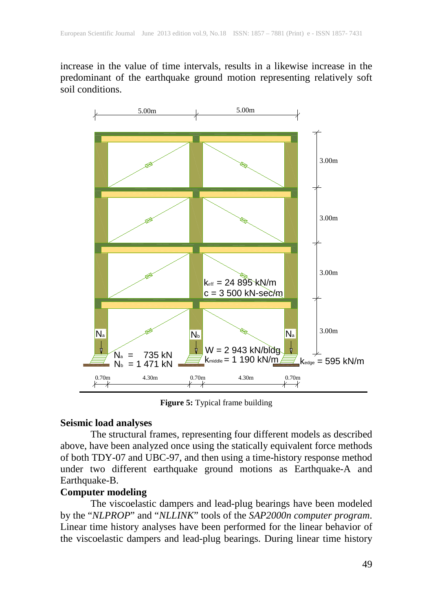increase in the value of time intervals, results in a likewise increase in the predominant of the earthquake ground motion representing relatively soft soil conditions.



**Figure 5:** Typical frame building

#### **Seismic load analyses**

The structural frames, representing four different models as described above, have been analyzed once using the statically equivalent force methods of both TDY-07 and UBC-97, and then using a time-history response method under two different earthquake ground motions as Earthquake-A and Earthquake-B.

# **Computer modeling**

The viscoelastic dampers and lead-plug bearings have been modeled by the "*NLPROP*" and "*NLLINK*" tools of the *SAP2000n computer program*. Linear time history analyses have been performed for the linear behavior of the viscoelastic dampers and lead-plug bearings. During linear time history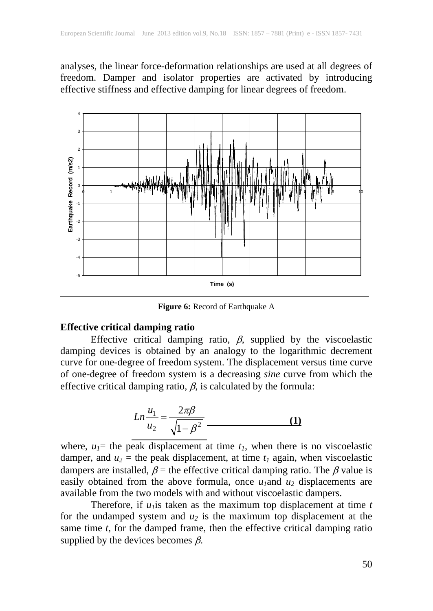analyses, the linear force-deformation relationships are used at all degrees of freedom. Damper and isolator properties are activated by introducing effective stiffness and effective damping for linear degrees of freedom.



**Figure 6:** Record of Earthquake A

#### **Effective critical damping ratio**

Effective critical damping ratio,  $\beta$ , supplied by the viscoelastic damping devices is obtained by an analogy to the logarithmic decrement curve for one-degree of freedom system. The displacement versus time curve of one-degree of freedom system is a decreasing *sine* curve from which the effective critical damping ratio,  $\beta$ , is calculated by the formula:

$$
Ln \frac{u_1}{u_2} = \frac{2\pi\beta}{\sqrt{1-\beta^2}}
$$
 (1)

where,  $u_1$ = the peak displacement at time  $t_1$ , when there is no viscoelastic damper, and  $u_2$  = the peak displacement, at time  $t_1$  again, when viscoelastic dampers are installed,  $\beta$  = the effective critical damping ratio. The  $\beta$  value is easily obtained from the above formula, once  $u_1$  and  $u_2$  displacements are available from the two models with and without viscoelastic dampers.

Therefore, if  $u_1$  is taken as the maximum top displacement at time  $t$ for the undamped system and  $u_2$  is the maximum top displacement at the same time *t*, for the damped frame, then the effective critical damping ratio supplied by the devices becomes  $\beta$ .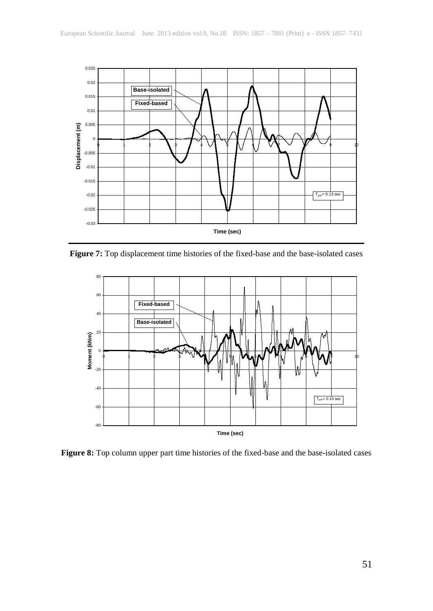

**Figure 7:** Top displacement time histories of the fixed-base and the base-isolated cases



**Figure 8:** Top column upper part time histories of the fixed-base and the base-isolated cases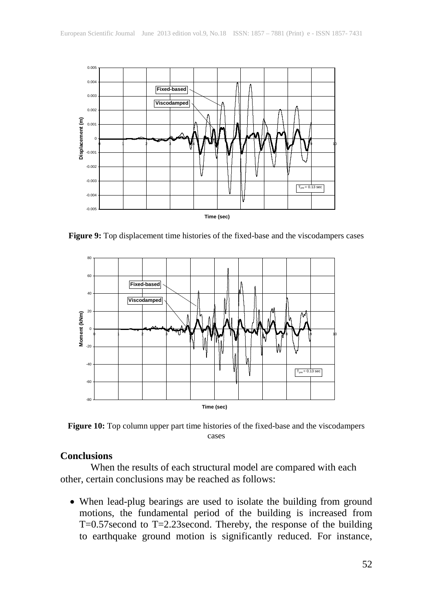

**Figure 9:** Top displacement time histories of the fixed-base and the viscodampers cases



**Figure 10:** Top column upper part time histories of the fixed-base and the viscodampers cases

#### **Conclusions**

When the results of each structural model are compared with each other, certain conclusions may be reached as follows:

• When lead-plug bearings are used to isolate the building from ground motions, the fundamental period of the building is increased from T=0.57second to T=2.23second. Thereby, the response of the building to earthquake ground motion is significantly reduced. For instance,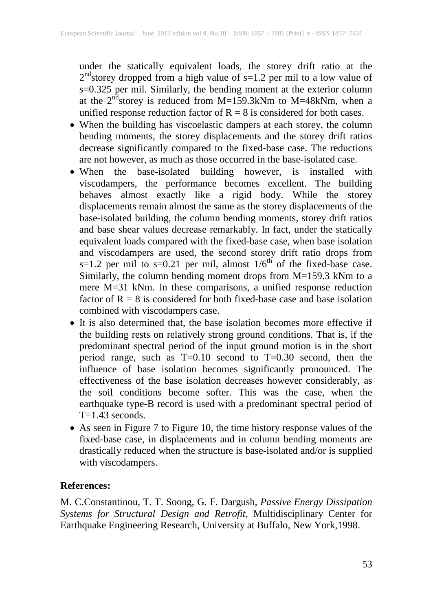under the statically equivalent loads, the storey drift ratio at the  $2<sup>nd</sup>$ storey dropped from a high value of s=1.2 per mil to a low value of s=0.325 per mil. Similarly, the bending moment at the exterior column at the  $2^{nd}$ storey is reduced from M=159.3kNm to M=48kNm, when a unified response reduction factor of  $R = 8$  is considered for both cases.

- When the building has viscoelastic dampers at each storey, the column bending moments, the storey displacements and the storey drift ratios decrease significantly compared to the fixed-base case. The reductions are not however, as much as those occurred in the base-isolated case.
- When the base-isolated building however, is installed with viscodampers, the performance becomes excellent. The building behaves almost exactly like a rigid body. While the storey displacements remain almost the same as the storey displacements of the base-isolated building, the column bending moments, storey drift ratios and base shear values decrease remarkably. In fact, under the statically equivalent loads compared with the fixed-base case, when base isolation and viscodampers are used, the second storey drift ratio drops from  $s=1.2$  per mil to  $s=0.21$  per mil, almost  $1/6^{th}$  of the fixed-base case. Similarly, the column bending moment drops from M=159.3 kNm to a mere M=31 kNm. In these comparisons, a unified response reduction factor of  $R = 8$  is considered for both fixed-base case and base isolation combined with viscodampers case.
- It is also determined that, the base isolation becomes more effective if the building rests on relatively strong ground conditions. That is, if the predominant spectral period of the input ground motion is in the short period range, such as  $T=0.10$  second to  $T=0.30$  second, then the influence of base isolation becomes significantly pronounced. The effectiveness of the base isolation decreases however considerably, as the soil conditions become softer. This was the case, when the earthquake type-B record is used with a predominant spectral period of T=1.43 seconds.
- As seen in Figure 7 to Figure 10, the time history response values of the fixed-base case, in displacements and in column bending moments are drastically reduced when the structure is base-isolated and/or is supplied with viscodampers.

### **References:**

M. C.Constantinou, T. T. Soong, G. F. Dargush, *Passive Energy Dissipation Systems for Structural Design and Retrofit*, Multidisciplinary Center for Earthquake Engineering Research, University at Buffalo, New York,1998.